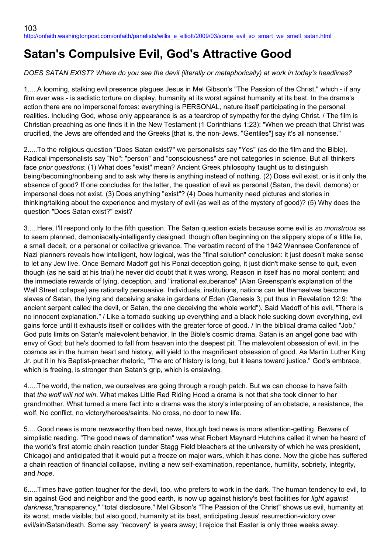# **Satan's Compulsive Evil, God's Attractive Good**

# *DOES SATAN EXIST? Where do you see the devil (literally or metaphorically) at work in today's headlines?*

1.....A looming, stalking evil presence plagues Jesus in Mel Gibson's "The Passion of the Christ," which - if any film ever was - is sadistic torture on display, humanity at its worst against humanity at its best. In the drama's action there are no impersonal forces: everything is PERSONAL, nature itself participating in the personal realities. Including God, whose only appearance is as a teardrop of sympathy for the dying Christ. / The film is Christian preaching as one finds it in the New Testament (1 Corinthians 1:23): "When we preach that Christ was crucified, the Jews are offended and the Greeks [that is, the non-Jews, "Gentiles"] say it's all nonsense."

2.....To the religious question "Does Satan exist?" we personalists say "Yes" (as do the film and the Bible). Radical impersonalists say "No": "person" and "consciousness" are not categories in science. But all thinkers face *prior questions*: (1) What does "exist" mean? Ancient Greek philosophy taught us to distinguish being/becoming/nonbeing and to ask why there is anything instead of nothing. (2) Does evil exist, or is it only the absence of good? If one concludes for the latter, the question of evil as personal (Satan, the devil, demons) or impersonal does not exist. (3) Does anything "exist"? (4) Does humanity need pictures and stories in thinking/talking about the experience and mystery of evil (as well as of the mystery of good)? (5) Why does the question "Does Satan exist?" exist?

3.....Here, I'll respond only to the fifth question. The Satan question exists because some evil is *so monstrous* as to seem planned, demoniacally-intelligently designed, though often beginning on the slippery slope of a little lie, a small deceit, or a personal or collective grievance. The verbatim record of the 1942 Wannsee Conference of Nazi planners reveals how intelligent, how logical, was the "final solution" conclusion: it just doesn't make sense to let any Jew live. Once Bernard Madoff got his Ponzi deception going, it just didn't make sense to quit, even though (as he said at his trial) he never did doubt that it was wrong. Reason in itself has no moral content; and the immediate rewards of lying, deception, and "irrational exuberance" (Alan Greenspan's explanation of the Wall Street collapse) are rationally persuasive. Individuals, institutions, nations can let themselves become slaves of Satan, the lying and deceiving snake in gardens of Eden (Genesis 3; put thus in Revelation 12:9: "the ancient serpent called the devil, or Satan, the one deceiving the whole world"). Said Madoff of his evil, "There is no innocent explanation." / Like a tornado sucking up everything and a black hole sucking down everything, evil gains force until it exhausts itself or collides with the greater force of good. / In the biblical drama called "Job," God puts limits on Satan's malevolent behavior. In the Bible's cosmic drama, Satan is an angel gone bad with envy of God; but he's doomed to fall from heaven into the deepest pit. The malevolent obsession of evil, in the cosmos as in the human heart and history, will yield to the magnificent obsession of good. As Martin Luther King Jr. put it in his Baptist-preacher rhetoric, "The arc of history is long, but it leans toward justice." God's embrace, which is freeing, is stronger than Satan's grip, which is enslaving.

4.....The world, the nation, we ourselves are going through a rough patch. But we can choose to have faith that *the wolf will not win*. What makes Little Red Riding Hood a drama is not that she took dinner to her grandmother. What turned a mere fact into a drama was the story's interposing of an obstacle, a resistance, the wolf. No conflict, no victory/heroes/saints. No cross, no door to new life.

5.....Good news is more newsworthy than bad news, though bad news is more attention-getting. Beware of simplistic reading. "The good news of damnation" was what Robert Maynard Hutchins called it when he heard of the world's first atomic chain reaction (under Stagg Field bleachers at the university of which he was president, Chicago) and anticipated that it would put a freeze on major wars, which it has done. Now the globe has suffered a chain reaction of financial collapse, inviting a new self-examination, repentance, humility, sobriety, integrity, and *hope*.

6.....Times have gotten tougher for the devil, too, who prefers to work in the dark. The human tendency to evil, to sin against God and neighbor and the good earth, is now up against history's best facilities for *light against darkness*,"transparency," "total disclosure." Mel Gibson's "The Passion of the Christ" shows us evil, humanity at its worst, made visible; but also good, humanity at its best, anticipating Jesus' resurrection-victory over evil/sin/Satan/death. Some say "recovery" is years away; I rejoice that Easter is only three weeks away.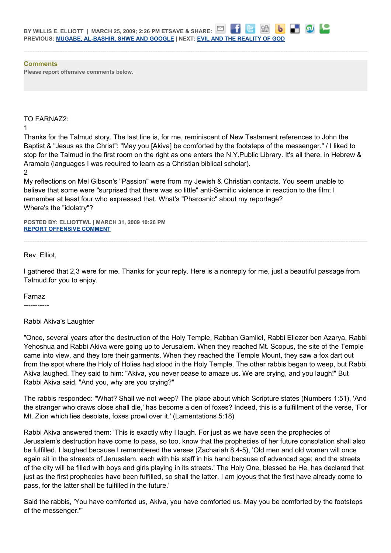#### **Comments**

**Please report offensive comments below.**

#### TO FARNAZ2:

1

Thanks for the Talmud story. The last line is, for me, reminiscent of New Testament references to John the Baptist & "Jesus as the Christ": "May you [Akiva] be comforted by the footsteps of the messenger." / I liked to stop for the Talmud in the first room on the right as one enters the N.Y.Public Library. It's all there, in Hebrew & Aramaic (languages I was required to learn as a Christian biblical scholar).

2

My reflections on Mel Gibson's "Passion" were from my Jewish & Christian contacts. You seem unable to believe that some were "surprised that there was so little" anti-Semitic violence in reaction to the film; I remember at least four who expressed that. What's "Pharoanic" about my reportage? Where's the "idolatry"?

**POSTED BY: ELLIOTTWL | MARCH 31, 2009 10:26 PM [REPORT OFFENSIVE COMMENT](mailto:blogs@washingtonpost.com?subject=On%20Faith%20Panelists%20Blog%20%20%7C%20%20elliottwl%20%20%7C%20%20Satan)**

#### Rev. Elliot,

I gathered that 2,3 were for me. Thanks for your reply. Here is a nonreply for me, just a beautiful passage from Talmud for you to enjoy.

#### Farnaz

-----------

#### Rabbi Akiva's Laughter

"Once, several years after the destruction of the Holy Temple, Rabban Gamliel, Rabbi Eliezer ben Azarya, Rabbi Yehoshua and Rabbi Akiva were going up to Jerusalem. When they reached Mt. Scopus, the site of the Temple came into view, and they tore their garments. When they reached the Temple Mount, they saw a fox dart out from the spot where the Holy of Holies had stood in the Holy Temple. The other rabbis began to weep, but Rabbi Akiva laughed. They said to him: "Akiva, you never cease to amaze us. We are crying, and you laugh!" But Rabbi Akiva said, "And you, why are you crying?"

The rabbis responded: "What? Shall we not weep? The place about which Scripture states (Numbers 1:51), 'And the stranger who draws close shall die,' has become a den of foxes? Indeed, this is a fulfillment of the verse, 'For Mt. Zion which lies desolate, foxes prowl over it.' (Lamentations 5:18)

Rabbi Akiva answered them: 'This is exactly why I laugh. For just as we have seen the prophecies of Jerusalem's destruction have come to pass, so too, know that the prophecies of her future consolation shall also be fulfilled. I laughed because I remembered the verses (Zachariah 8:4-5), 'Old men and old women will once again sit in the streeets of Jerusalem, each with his staff in his hand because of advanced age; and the streets of the city will be filled with boys and girls playing in its streets.' The Holy One, blessed be He, has declared that just as the first prophecies have been fulfilled, so shall the latter. I am joyous that the first have already come to pass, for the latter shall be fulfilled in the future.'

Said the rabbis, 'You have comforted us, Akiva, you have comforted us. May you be comforted by the footsteps of the messenger.'"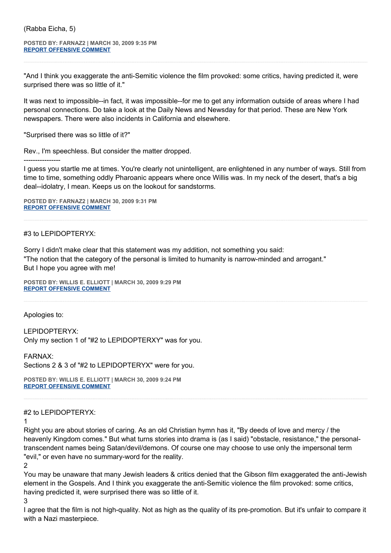**POSTED BY: FARNAZ2 | MARCH 30, 2009 9:35 PM [REPORT OFFENSIVE COMMENT](mailto:blogs@washingtonpost.com?subject=On%20Faith%20Panelists%20Blog%20%20%7C%20%20Farnaz2%20%20%7C%20%20Satan)**

"And I think you exaggerate the anti-Semitic violence the film provoked: some critics, having predicted it, were surprised there was so little of it."

It was next to impossible--in fact, it was impossible--for me to get any information outside of areas where I had personal connections. Do take a look at the Daily News and Newsday for that period. These are New York newspapers. There were also incidents in California and elsewhere.

"Surprised there was so little of it?"

Rev., I'm speechless. But consider the matter dropped.

I guess you startle me at times. You're clearly not unintelligent, are enlightened in any number of ways. Still from time to time, something oddly Pharoanic appears where once Willis was. In my neck of the desert, that's a big deal--idolatry, I mean. Keeps us on the lookout for sandstorms.

**POSTED BY: FARNAZ2 | MARCH 30, 2009 9:31 PM [REPORT OFFENSIVE COMMENT](mailto:blogs@washingtonpost.com?subject=On%20Faith%20Panelists%20Blog%20%20%7C%20%20Farnaz2%20%20%7C%20%20Satan)**

#3 to LEPIDOPTERYX:

----------------

Sorry I didn't make clear that this statement was my addition, not something you said: "The notion that the category of the personal is limited to humanity is narrow-minded and arrogant." But I hope you agree with me!

**POSTED BY: WILLIS E. ELLIOTT | MARCH 30, 2009 9:29 PM [REPORT OFFENSIVE COMMENT](mailto:blogs@washingtonpost.com?subject=On%20Faith%20Panelists%20Blog%20%20%7C%20%20Willis%20E.%20Elliott%20%20%7C%20%20Satan)**

Apologies to:

LEPIDOPTERYX: Only my section 1 of "#2 to LEPIDOPTERXY" was for you.

FARNAX:

Sections 2 & 3 of "#2 to LEPIDOPTERYX" were for you.

**POSTED BY: WILLIS E. ELLIOTT | MARCH 30, 2009 9:24 PM [REPORT OFFENSIVE COMMENT](mailto:blogs@washingtonpost.com?subject=On%20Faith%20Panelists%20Blog%20%20%7C%20%20Willis%20E.%20Elliott%20%20%7C%20%20Satan)**

#2 to LEPIDOPTERYX:

1

Right you are about stories of caring. As an old Christian hymn has it, "By deeds of love and mercy / the heavenly Kingdom comes." But what turns stories into drama is (as I said) "obstacle, resistance," the personaltranscendent names being Satan/devil/demons. Of course one may choose to use only the impersonal term "evil," or even have no summary-word for the reality.

2

You may be unaware that many Jewish leaders & critics denied that the Gibson film exaggerated the anti-Jewish element in the Gospels. And I think you exaggerate the anti-Semitic violence the film provoked: some critics, having predicted it, were surprised there was so little of it.

3

I agree that the film is not high-quality. Not as high as the quality of its pre-promotion. But it's unfair to compare it with a Nazi masterpiece.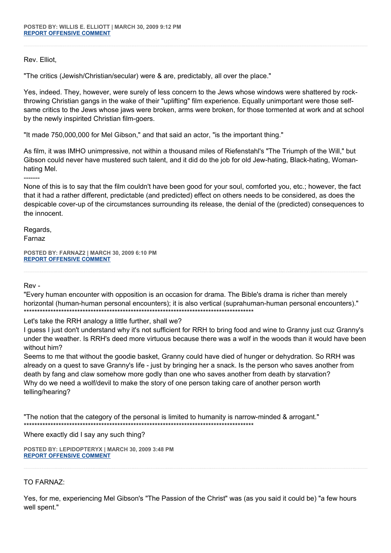Rev. Elliot,

"The critics (Jewish/Christian/secular) were & are, predictably, all over the place."

Yes, indeed. They, however, were surely of less concern to the Jews whose windows were shattered by rockthrowing Christian gangs in the wake of their "uplifting" film experience. Equally unimportant were those selfsame critics to the Jews whose jaws were broken, arms were broken, for those tormented at work and at school by the newly inspirited Christian film-goers.

"It made 750,000,000 for Mel Gibson," and that said an actor, "is the important thing."

As film, it was IMHO unimpressive, not within a thousand miles of Riefenstahl's "The Triumph of the Will," but Gibson could never have mustered such talent, and it did do the job for old Jew-hating, Black-hating, Womanhating Mel.

-------

None of this is to say that the film couldn't have been good for your soul, comforted you, etc.; however, the fact that it had a rather different, predictable (and predicted) effect on others needs to be considered, as does the despicable cover-up of the circumstances surrounding its release, the denial of the (predicted) consequences to the innocent.

Regards, Farnaz

**POSTED BY: FARNAZ2 | MARCH 30, 2009 6:10 PM [REPORT OFFENSIVE COMMENT](mailto:blogs@washingtonpost.com?subject=On%20Faith%20Panelists%20Blog%20%20%7C%20%20Farnaz2%20%20%7C%20%20Satan)**

Rev -

"Every human encounter with opposition is an occasion for drama. The Bible's drama is richer than merely horizontal (human-human personal encounters); it is also vertical (suprahuman-human personal encounters)." \*\*\*\*\*\*\*\*\*\*\*\*\*\*\*\*\*\*\*\*\*\*\*\*\*\*\*\*\*\*\*\*\*\*\*\*\*\*\*\*\*\*\*\*\*\*\*\*\*\*\*\*\*\*\*\*\*\*\*\*\*\*\*\*\*\*\*\*\*\*\*\*\*\*\*\*\*\*\*\*\*\*\*\*\*\*

Let's take the RRH analogy a little further, shall we?

I guess I just don't understand why it's not sufficient for RRH to bring food and wine to Granny just cuz Granny's under the weather. Is RRH's deed more virtuous because there was a wolf in the woods than it would have been without him?

Seems to me that without the goodie basket, Granny could have died of hunger or dehydration. So RRH was already on a quest to save Granny's life - just by bringing her a snack. Is the person who saves another from death by fang and claw somehow more godly than one who saves another from death by starvation? Why do we need a wolf/devil to make the story of one person taking care of another person worth telling/hearing?

"The notion that the category of the personal is limited to humanity is narrow-minded & arrogant." \*\*\*\*\*\*\*\*\*\*\*\*\*\*\*\*\*\*\*\*\*\*\*\*\*\*\*\*\*\*\*\*\*\*\*\*\*\*\*\*\*\*\*\*\*\*\*\*\*\*\*\*\*\*\*\*\*\*\*\*\*\*\*\*\*\*\*\*\*\*\*\*\*\*\*\*\*\*\*\*\*\*\*\*\*\*

Where exactly did I say any such thing?

**POSTED BY: LEPIDOPTERYX | MARCH 30, 2009 3:48 PM [REPORT OFFENSIVE COMMENT](mailto:blogs@washingtonpost.com?subject=On%20Faith%20Panelists%20Blog%20%20%7C%20%20lepidopteryx%20%20%7C%20%20Satan)**

## TO FARNAZ:

Yes, for me, experiencing Mel Gibson's "The Passion of the Christ" was (as you said it could be) "a few hours well spent."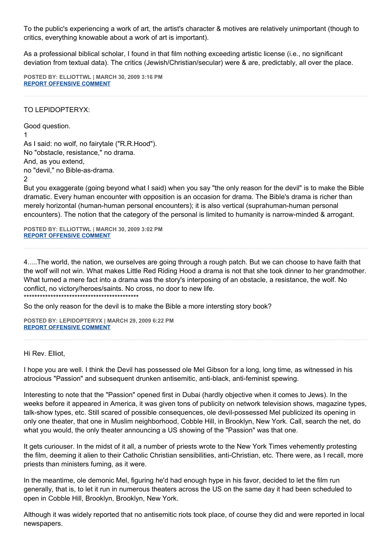To the public's experiencing a work of art, the artist's character & motives are relatively unimportant (though to critics, everything knowable about a work of art is important).

As a professional biblical scholar, I found in that film nothing exceeding artistic license (i.e., no significant deviation from textual data). The critics (Jewish/Christian/secular) were & are, predictably, all over the place.

**POSTED BY: ELLIOTTWL | MARCH 30, 2009 3:16 PM [REPORT OFFENSIVE COMMENT](mailto:blogs@washingtonpost.com?subject=On%20Faith%20Panelists%20Blog%20%20%7C%20%20elliottwl%20%20%7C%20%20Satan)**

### TO LEPIDOPTERYX:

Good question. 1 As I said: no wolf, no fairytale ("R.R.Hood"). No "obstacle, resistance," no drama. And, as you extend, no "devil," no Bible-as-drama.

 $\mathfrak{p}$ 

But you exaggerate (going beyond what I said) when you say "the only reason for the devil" is to make the Bible dramatic. Every human encounter with opposition is an occasion for drama. The Bible's drama is richer than merely horizontal (human-human personal encounters); it is also vertical (suprahuman-human personal encounters). The notion that the category of the personal is limited to humanity is narrow-minded & arrogant.

**POSTED BY: ELLIOTTWL | MARCH 30, 2009 3:02 PM [REPORT OFFENSIVE COMMENT](mailto:blogs@washingtonpost.com?subject=On%20Faith%20Panelists%20Blog%20%20%7C%20%20elliottwl%20%20%7C%20%20Satan)**

4.....The world, the nation, we ourselves are going through a rough patch. But we can choose to have faith that the wolf will not win. What makes Little Red Riding Hood a drama is not that she took dinner to her grandmother. What turned a mere fact into a drama was the story's interposing of an obstacle, a resistance, the wolf. No conflict, no victory/heroes/saints. No cross, no door to new life.

\*\*\*\*\*\*\*\*\*\*\*\*\*\*\*\*\*\*\*\*\*\*\*\*\*\*\*\*\*\*\*\*\*\*\*\*\*\*\*\*\*\*\*

So the only reason for the devil is to make the Bible a more intersting story book?

**POSTED BY: LEPIDOPTERYX | MARCH 29, 2009 6:22 PM [REPORT OFFENSIVE COMMENT](mailto:blogs@washingtonpost.com?subject=On%20Faith%20Panelists%20Blog%20%20%7C%20%20lepidopteryx%20%20%7C%20%20Satan)**

#### Hi Rev. Elliot,

I hope you are well. I think the Devil has possessed ole Mel Gibson for a long, long time, as witnessed in his atrocious "Passion" and subsequent drunken antisemitic, anti-black, anti-feminist spewing.

Interesting to note that the "Passion" opened first in Dubai (hardly objective when it comes to Jews). In the weeks before it appeared in America, it was given tons of publicity on network television shows, magazine types, talk-show types, etc. Still scared of possible consequences, ole devil-possessed Mel publicized its opening in only one theater, that one in Muslim neighborhood, Cobble Hill, in Brooklyn, New York. Call, search the net, do what you would, the only theater announcing a US showing of the "Passion" was that one.

It gets curiouser. In the midst of it all, a number of priests wrote to the New York Times vehemently protesting the film, deeming it alien to their Catholic Christian sensibilities, anti-Christian, etc. There were, as I recall, more priests than ministers fuming, as it were.

In the meantime, ole demonic Mel, figuring he'd had enough hype in his favor, decided to let the film run generally, that is, to let it run in numerous theaters across the US on the same day it had been scheduled to open in Cobble Hill, Brooklyn, Brooklyn, New York.

Although it was widely reported that no antisemitic riots took place, of course they did and were reported in local newspapers.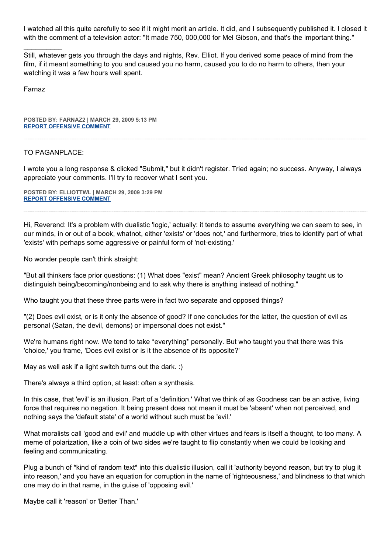I watched all this quite carefully to see if it might merit an article. It did, and I subsequently published it. I closed it with the comment of a television actor: "It made 750, 000,000 for Mel Gibson, and that's the important thing."

Still, whatever gets you through the days and nights, Rev. Elliot. If you derived some peace of mind from the film, if it meant something to you and caused you no harm, caused you to do no harm to others, then your watching it was a few hours well spent.

Farnaz

 $\mathcal{L}$ 

**POSTED BY: FARNAZ2 | MARCH 29, 2009 5:13 PM [REPORT OFFENSIVE COMMENT](mailto:blogs@washingtonpost.com?subject=On%20Faith%20Panelists%20Blog%20%20%7C%20%20Farnaz2%20%20%7C%20%20Satan)**

#### TO PAGANPLACE:

I wrote you a long response & clicked "Submit," but it didn't register. Tried again; no success. Anyway, I always appreciate your comments. I'll try to recover what I sent you.

**POSTED BY: ELLIOTTWL | MARCH 29, 2009 3:29 PM [REPORT OFFENSIVE COMMENT](mailto:blogs@washingtonpost.com?subject=On%20Faith%20Panelists%20Blog%20%20%7C%20%20elliottwl%20%20%7C%20%20Satan)**

Hi, Reverend: It's a problem with dualistic 'logic,' actually: it tends to assume everything we can seem to see, in our minds, in or out of a book, whatnot, either 'exists' or 'does not,' and furthermore, tries to identify part of what 'exists' with perhaps some aggressive or painful form of 'not-existing.'

No wonder people can't think straight:

"But all thinkers face prior questions: (1) What does "exist" mean? Ancient Greek philosophy taught us to distinguish being/becoming/nonbeing and to ask why there is anything instead of nothing."

Who taught you that these three parts were in fact two separate and opposed things?

"(2) Does evil exist, or is it only the absence of good? If one concludes for the latter, the question of evil as personal (Satan, the devil, demons) or impersonal does not exist."

We're humans right now. We tend to take \*everything\* personally. But who taught you that there was this 'choice,' you frame, 'Does evil exist or is it the absence of its opposite?'

May as well ask if a light switch turns out the dark. :)

There's always a third option, at least: often a synthesis.

In this case, that 'evil' is an illusion. Part of a 'definition.' What we think of as Goodness can be an active, living force that requires no negation. It being present does not mean it must be 'absent' when not perceived, and nothing says the 'default state' of a world without such must be 'evil.'

What moralists call 'good and evil' and muddle up with other virtues and fears is itself a thought, to too many. A meme of polarization, like a coin of two sides we're taught to flip constantly when we could be looking and feeling and communicating.

Plug a bunch of \*kind of random text\* into this dualistic illusion, call it 'authority beyond reason, but try to plug it into reason,' and you have an equation for corruption in the name of 'righteousness,' and blindness to that which one may do in that name, in the guise of 'opposing evil.'

Maybe call it 'reason' or 'Better Than.'